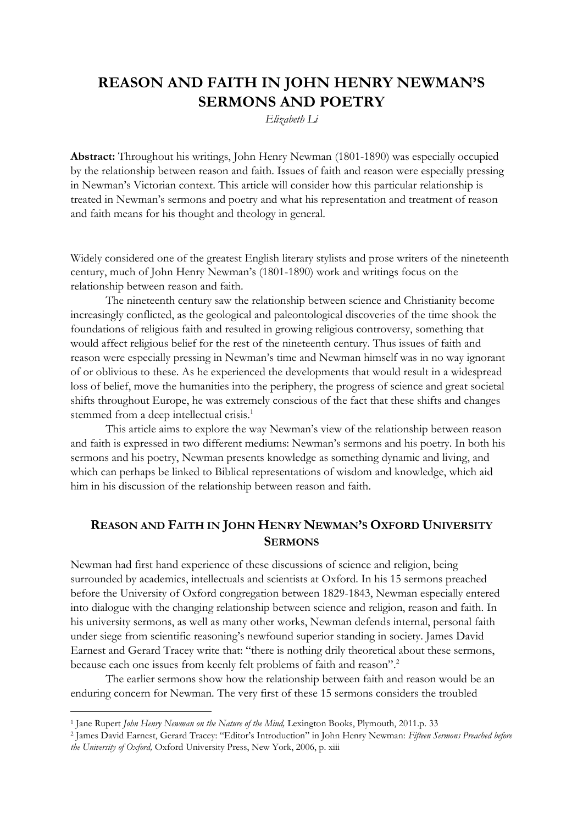# **REASON AND FAITH IN JOHN HENRY NEWMAN'S SERMONS AND POETRY**

*Elizabeth Li*

**Abstract:** Throughout his writings, John Henry Newman (1801-1890) was especially occupied by the relationship between reason and faith. Issues of faith and reason were especially pressing in Newman's Victorian context. This article will consider how this particular relationship is treated in Newman's sermons and poetry and what his representation and treatment of reason and faith means for his thought and theology in general.

Widely considered one of the greatest English literary stylists and prose writers of the nineteenth century, much of John Henry Newman's (1801-1890) work and writings focus on the relationship between reason and faith.

The nineteenth century saw the relationship between science and Christianity become increasingly conflicted, as the geological and paleontological discoveries of the time shook the foundations of religious faith and resulted in growing religious controversy, something that would affect religious belief for the rest of the nineteenth century. Thus issues of faith and reason were especially pressing in Newman's time and Newman himself was in no way ignorant of or oblivious to these. As he experienced the developments that would result in a widespread loss of belief, move the humanities into the periphery, the progress of science and great societal shifts throughout Europe, he was extremely conscious of the fact that these shifts and changes stemmed from a deep intellectual crisis.<sup>1</sup>

This article aims to explore the way Newman's view of the relationship between reason and faith is expressed in two different mediums: Newman's sermons and his poetry. In both his sermons and his poetry, Newman presents knowledge as something dynamic and living, and which can perhaps be linked to Biblical representations of wisdom and knowledge, which aid him in his discussion of the relationship between reason and faith.

# **REASON AND FAITH IN JOHN HENRY NEWMAN'S OXFORD UNIVERSITY SERMONS**

Newman had first hand experience of these discussions of science and religion, being surrounded by academics, intellectuals and scientists at Oxford. In his 15 sermons preached before the University of Oxford congregation between 1829-1843, Newman especially entered into dialogue with the changing relationship between science and religion, reason and faith. In his university sermons, as well as many other works, Newman defends internal, personal faith under siege from scientific reasoning's newfound superior standing in society. James David Earnest and Gerard Tracey write that: "there is nothing drily theoretical about these sermons, because each one issues from keenly felt problems of faith and reason". 2

The earlier sermons show how the relationship between faith and reason would be an enduring concern for Newman. The very first of these 15 sermons considers the troubled

<sup>&</sup>lt;sup>1</sup> Jane Rupert *John Henry Newman on the Nature of the Mind*, Lexington Books, Plymouth, 2011.p. 33

<sup>2</sup> James David Earnest, Gerard Tracey: "Editor's Introduction" in John Henry Newman: *Fifteen Sermons Preached before the University of Oxford,* Oxford University Press, New York, 2006, p. xiii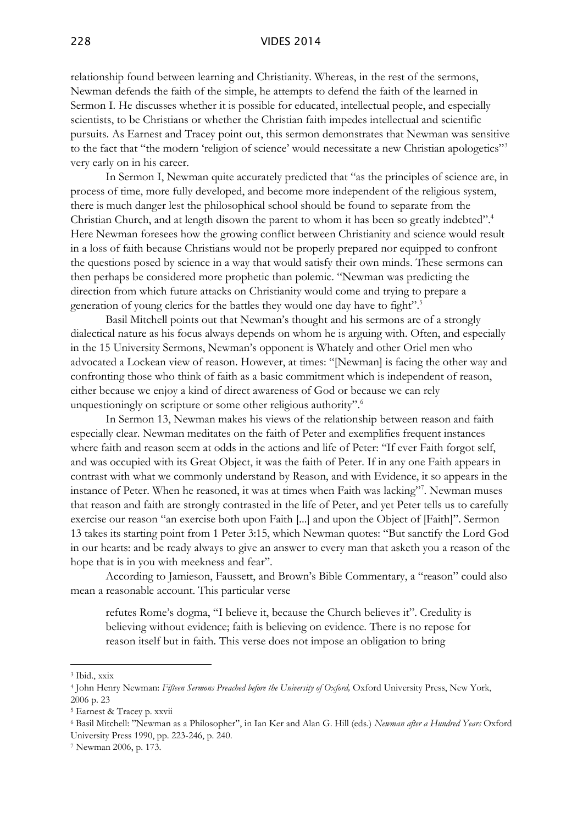#### 228 VIDES 2014

relationship found between learning and Christianity. Whereas, in the rest of the sermons, Newman defends the faith of the simple, he attempts to defend the faith of the learned in Sermon I. He discusses whether it is possible for educated, intellectual people, and especially scientists, to be Christians or whether the Christian faith impedes intellectual and scientific pursuits. As Earnest and Tracey point out, this sermon demonstrates that Newman was sensitive to the fact that "the modern 'religion of science' would necessitate a new Christian apologetics"<sup>3</sup> very early on in his career.

In Sermon I, Newman quite accurately predicted that "as the principles of science are, in process of time, more fully developed, and become more independent of the religious system, there is much danger lest the philosophical school should be found to separate from the Christian Church, and at length disown the parent to whom it has been so greatly indebted". 4 Here Newman foresees how the growing conflict between Christianity and science would result in a loss of faith because Christians would not be properly prepared nor equipped to confront the questions posed by science in a way that would satisfy their own minds. These sermons can then perhaps be considered more prophetic than polemic. "Newman was predicting the direction from which future attacks on Christianity would come and trying to prepare a generation of young clerics for the battles they would one day have to fight". 5

Basil Mitchell points out that Newman's thought and his sermons are of a strongly dialectical nature as his focus always depends on whom he is arguing with. Often, and especially in the 15 University Sermons, Newman's opponent is Whately and other Oriel men who advocated a Lockean view of reason. However, at times: "[Newman] is facing the other way and confronting those who think of faith as a basic commitment which is independent of reason, either because we enjoy a kind of direct awareness of God or because we can rely unquestioningly on scripture or some other religious authority".<sup>6</sup>

In Sermon 13, Newman makes his views of the relationship between reason and faith especially clear. Newman meditates on the faith of Peter and exemplifies frequent instances where faith and reason seem at odds in the actions and life of Peter: "If ever Faith forgot self, and was occupied with its Great Object, it was the faith of Peter. If in any one Faith appears in contrast with what we commonly understand by Reason, and with Evidence, it so appears in the instance of Peter. When he reasoned, it was at times when Faith was lacking"<sup>7</sup>. Newman muses that reason and faith are strongly contrasted in the life of Peter, and yet Peter tells us to carefully exercise our reason "an exercise both upon Faith [...] and upon the Object of [Faith]". Sermon 13 takes its starting point from 1 Peter 3:15, which Newman quotes: "But sanctify the Lord God in our hearts: and be ready always to give an answer to every man that asketh you a reason of the hope that is in you with meekness and fear".

According to Jamieson, Faussett, and Brown's Bible Commentary, a "reason" could also mean a reasonable account. This particular verse

refutes Rome's dogma, "I believe it, because the Church believes it". Credulity is believing without evidence; faith is believing on evidence. There is no repose for reason itself but in faith. This verse does not impose an obligation to bring

<sup>3</sup> Ibid., xxix

<sup>4</sup> John Henry Newman: *Fifteen Sermons Preached before the University of Oxford,* Oxford University Press, New York, 2006 p. 23

<sup>5</sup> Earnest & Tracey p. xxvii

<sup>6</sup> Basil Mitchell: "Newman as a Philosopher", in Ian Ker and Alan G. Hill (eds.) *Newman after a Hundred Years* Oxford University Press 1990, pp. 223-246, p. 240.

<sup>7</sup> Newman 2006, p. 173.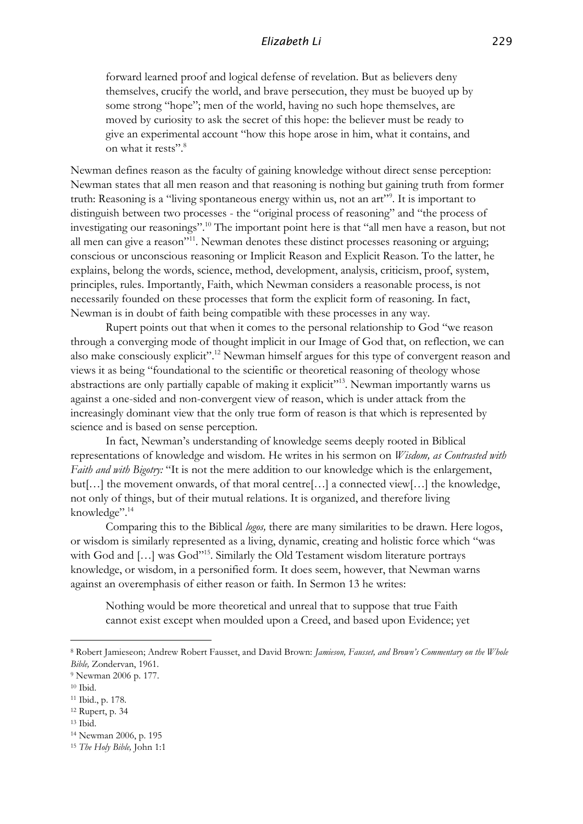forward learned proof and logical defense of revelation. But as believers deny themselves, crucify the world, and brave persecution, they must be buoyed up by some strong "hope"; men of the world, having no such hope themselves, are moved by curiosity to ask the secret of this hope: the believer must be ready to give an experimental account "how this hope arose in him, what it contains, and on what it rests".<sup>8</sup>

Newman defines reason as the faculty of gaining knowledge without direct sense perception: Newman states that all men reason and that reasoning is nothing but gaining truth from former truth: Reasoning is a "living spontaneous energy within us, not an art"<sup>29</sup>. It is important to distinguish between two processes - the "original process of reasoning" and "the process of investigating our reasonings". <sup>10</sup> The important point here is that "all men have a reason, but not all men can give a reason"<sup>11</sup>. Newman denotes these distinct processes reasoning or arguing; conscious or unconscious reasoning or Implicit Reason and Explicit Reason. To the latter, he explains, belong the words, science, method, development, analysis, criticism, proof, system, principles, rules. Importantly, Faith, which Newman considers a reasonable process, is not necessarily founded on these processes that form the explicit form of reasoning. In fact, Newman is in doubt of faith being compatible with these processes in any way.

Rupert points out that when it comes to the personal relationship to God "we reason through a converging mode of thought implicit in our Image of God that, on reflection, we can also make consciously explicit".<sup>12</sup> Newman himself argues for this type of convergent reason and views it as being "foundational to the scientific or theoretical reasoning of theology whose abstractions are only partially capable of making it explicit"<sup>13</sup>. Newman importantly warns us against a one-sided and non-convergent view of reason, which is under attack from the increasingly dominant view that the only true form of reason is that which is represented by science and is based on sense perception.

In fact, Newman's understanding of knowledge seems deeply rooted in Biblical representations of knowledge and wisdom. He writes in his sermon on *Wisdom, as Contrasted with Faith and with Bigotry:* "It is not the mere addition to our knowledge which is the enlargement, but[…] the movement onwards, of that moral centre[…] a connected view[…] the knowledge, not only of things, but of their mutual relations. It is organized, and therefore living knowledge". 14

Comparing this to the Biblical *logos,* there are many similarities to be drawn. Here logos, or wisdom is similarly represented as a living, dynamic, creating and holistic force which "was with God and [...] was God"<sup>15</sup>. Similarly the Old Testament wisdom literature portrays knowledge, or wisdom, in a personified form. It does seem, however, that Newman warns against an overemphasis of either reason or faith. In Sermon 13 he writes:

Nothing would be more theoretical and unreal that to suppose that true Faith cannot exist except when moulded upon a Creed, and based upon Evidence; yet

<sup>8</sup> Robert Jamieseon; Andrew Robert Fausset, and David Brown: *Jamieson, Fausset, and Brown's Commentary on the Whole Bible,* Zondervan, 1961.

<sup>9</sup> Newman 2006 p. 177.

<sup>10</sup> Ibid.

<sup>11</sup> Ibid., p. 178.

<sup>12</sup> Rupert, p. 34

<sup>13</sup> Ibid.

<sup>14</sup> Newman 2006, p. 195

<sup>15</sup> *The Holy Bible,* John 1:1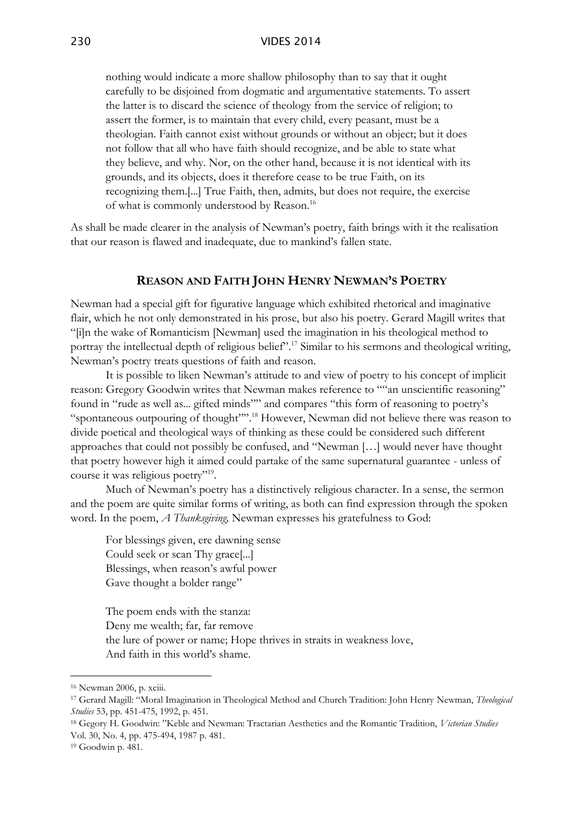nothing would indicate a more shallow philosophy than to say that it ought carefully to be disjoined from dogmatic and argumentative statements. To assert the latter is to discard the science of theology from the service of religion; to assert the former, is to maintain that every child, every peasant, must be a theologian. Faith cannot exist without grounds or without an object; but it does not follow that all who have faith should recognize, and be able to state what they believe, and why. Nor, on the other hand, because it is not identical with its grounds, and its objects, does it therefore cease to be true Faith, on its recognizing them.[...] True Faith, then, admits, but does not require, the exercise of what is commonly understood by Reason.<sup>16</sup>

As shall be made clearer in the analysis of Newman's poetry, faith brings with it the realisation that our reason is flawed and inadequate, due to mankind's fallen state.

## **REASON AND FAITH JOHN HENRY NEWMAN'S POETRY**

Newman had a special gift for figurative language which exhibited rhetorical and imaginative flair, which he not only demonstrated in his prose, but also his poetry. Gerard Magill writes that "[i]n the wake of Romanticism [Newman] used the imagination in his theological method to portray the intellectual depth of religious belief".<sup>17</sup> Similar to his sermons and theological writing, Newman's poetry treats questions of faith and reason.

It is possible to liken Newman's attitude to and view of poetry to his concept of implicit reason: Gregory Goodwin writes that Newman makes reference to ""an unscientific reasoning" found in "rude as well as... gifted minds"" and compares "this form of reasoning to poetry's "spontaneous outpouring of thought"".<sup>18</sup> However, Newman did not believe there was reason to divide poetical and theological ways of thinking as these could be considered such different approaches that could not possibly be confused, and "Newman […] would never have thought that poetry however high it aimed could partake of the same supernatural guarantee - unless of course it was religious poetry"<sup>19</sup>.

Much of Newman's poetry has a distinctively religious character. In a sense, the sermon and the poem are quite similar forms of writing, as both can find expression through the spoken word. In the poem, *A Thanksgiving,* Newman expresses his gratefulness to God:

For blessings given, ere dawning sense Could seek or scan Thy grace[...] Blessings, when reason's awful power Gave thought a bolder range"

The poem ends with the stanza: Deny me wealth; far, far remove the lure of power or name; Hope thrives in straits in weakness love, And faith in this world's shame.

<sup>16</sup> Newman 2006, p. xciii.

<sup>17</sup> Gerard Magill: "Moral Imagination in Theological Method and Church Tradition: John Henry Newman, *Theological Studies* 53, pp. 451-475, 1992, p. 451.

<sup>18</sup> Gegory H. Goodwin: "Keble and Newman: Tractarian Aesthetics and the Romantic Tradition, *Victorian Studies* Vol. 30, No. 4, pp. 475-494, 1987 p. 481.

<sup>19</sup> Goodwin p. 481.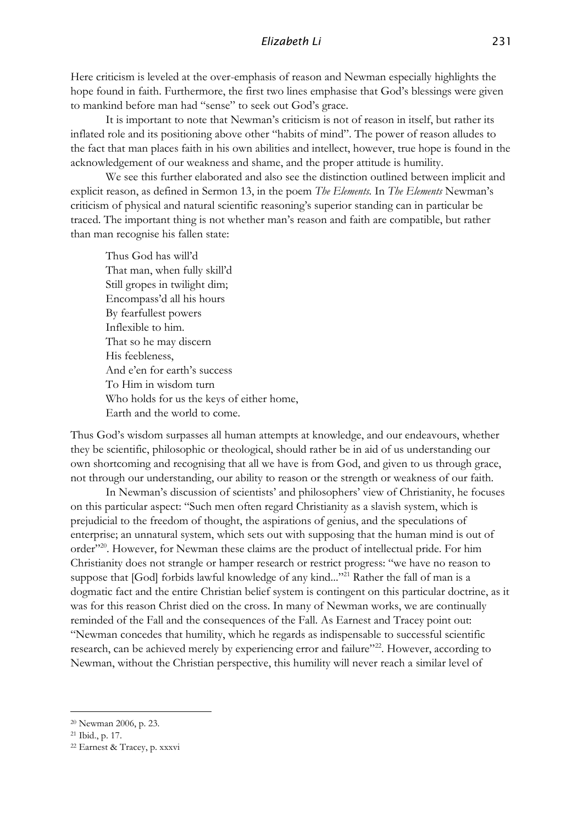Here criticism is leveled at the over-emphasis of reason and Newman especially highlights the hope found in faith. Furthermore, the first two lines emphasise that God's blessings were given to mankind before man had "sense" to seek out God's grace.

It is important to note that Newman's criticism is not of reason in itself, but rather its inflated role and its positioning above other "habits of mind". The power of reason alludes to the fact that man places faith in his own abilities and intellect, however, true hope is found in the acknowledgement of our weakness and shame, and the proper attitude is humility.

We see this further elaborated and also see the distinction outlined between implicit and explicit reason, as defined in Sermon 13, in the poem *The Elements.* In *The Elements* Newman's criticism of physical and natural scientific reasoning's superior standing can in particular be traced. The important thing is not whether man's reason and faith are compatible, but rather than man recognise his fallen state:

Thus God has will'd That man, when fully skill'd Still gropes in twilight dim; Encompass'd all his hours By fearfullest powers Inflexible to him. That so he may discern His feebleness, And e'en for earth's success To Him in wisdom turn Who holds for us the keys of either home, Earth and the world to come.

Thus God's wisdom surpasses all human attempts at knowledge, and our endeavours, whether they be scientific, philosophic or theological, should rather be in aid of us understanding our own shortcoming and recognising that all we have is from God, and given to us through grace, not through our understanding, our ability to reason or the strength or weakness of our faith.

In Newman's discussion of scientists' and philosophers' view of Christianity, he focuses on this particular aspect: "Such men often regard Christianity as a slavish system, which is prejudicial to the freedom of thought, the aspirations of genius, and the speculations of enterprise; an unnatural system, which sets out with supposing that the human mind is out of order"<sup>20</sup>. However, for Newman these claims are the product of intellectual pride. For him Christianity does not strangle or hamper research or restrict progress: "we have no reason to suppose that [God] forbids lawful knowledge of any kind..."<sup>21</sup> Rather the fall of man is a dogmatic fact and the entire Christian belief system is contingent on this particular doctrine, as it was for this reason Christ died on the cross. In many of Newman works, we are continually reminded of the Fall and the consequences of the Fall. As Earnest and Tracey point out: "Newman concedes that humility, which he regards as indispensable to successful scientific research, can be achieved merely by experiencing error and failure"<sup>22</sup>. However, according to Newman, without the Christian perspective, this humility will never reach a similar level of

<sup>20</sup> Newman 2006, p. 23.

<sup>21</sup> Ibid., p. 17.

<sup>22</sup> Earnest & Tracey, p. xxxvi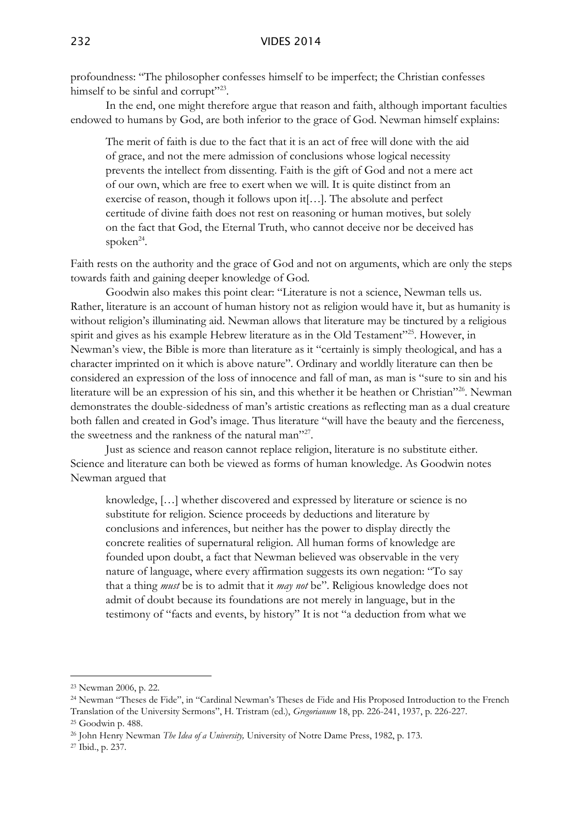profoundness: "The philosopher confesses himself to be imperfect; the Christian confesses himself to be sinful and corrupt"23.

In the end, one might therefore argue that reason and faith, although important faculties endowed to humans by God, are both inferior to the grace of God. Newman himself explains:

The merit of faith is due to the fact that it is an act of free will done with the aid of grace, and not the mere admission of conclusions whose logical necessity prevents the intellect from dissenting. Faith is the gift of God and not a mere act of our own, which are free to exert when we will. It is quite distinct from an exercise of reason, though it follows upon it[…]. The absolute and perfect certitude of divine faith does not rest on reasoning or human motives, but solely on the fact that God, the Eternal Truth, who cannot deceive nor be deceived has spoken<sup>24</sup>.

Faith rests on the authority and the grace of God and not on arguments, which are only the steps towards faith and gaining deeper knowledge of God.

Goodwin also makes this point clear: "Literature is not a science, Newman tells us. Rather, literature is an account of human history not as religion would have it, but as humanity is without religion's illuminating aid. Newman allows that literature may be tinctured by a religious spirit and gives as his example Hebrew literature as in the Old Testament"<sup>25</sup>. However, in Newman's view, the Bible is more than literature as it "certainly is simply theological, and has a character imprinted on it which is above nature". Ordinary and worldly literature can then be considered an expression of the loss of innocence and fall of man, as man is "sure to sin and his literature will be an expression of his sin, and this whether it be heathen or Christian"<sup>26</sup>. Newman demonstrates the double-sidedness of man's artistic creations as reflecting man as a dual creature both fallen and created in God's image. Thus literature "will have the beauty and the fierceness, the sweetness and the rankness of the natural man"27.

Just as science and reason cannot replace religion, literature is no substitute either. Science and literature can both be viewed as forms of human knowledge. As Goodwin notes Newman argued that

knowledge, […] whether discovered and expressed by literature or science is no substitute for religion. Science proceeds by deductions and literature by conclusions and inferences, but neither has the power to display directly the concrete realities of supernatural religion. All human forms of knowledge are founded upon doubt, a fact that Newman believed was observable in the very nature of language, where every affirmation suggests its own negation: "To say that a thing *must* be is to admit that it *may not* be". Religious knowledge does not admit of doubt because its foundations are not merely in language, but in the testimony of "facts and events, by history" It is not "a deduction from what we

<sup>23</sup> Newman 2006, p. 22.

<sup>24</sup> Newman "Theses de Fide", in "Cardinal Newman's Theses de Fide and His Proposed Introduction to the French Translation of the University Sermons", H. Tristram (ed.), *Gregorianum* 18, pp. 226-241, 1937, p. 226-227. <sup>25</sup> Goodwin p. 488.

<sup>26</sup> John Henry Newman *The Idea of a University,* University of Notre Dame Press, 1982, p. 173.

<sup>27</sup> Ibid., p. 237.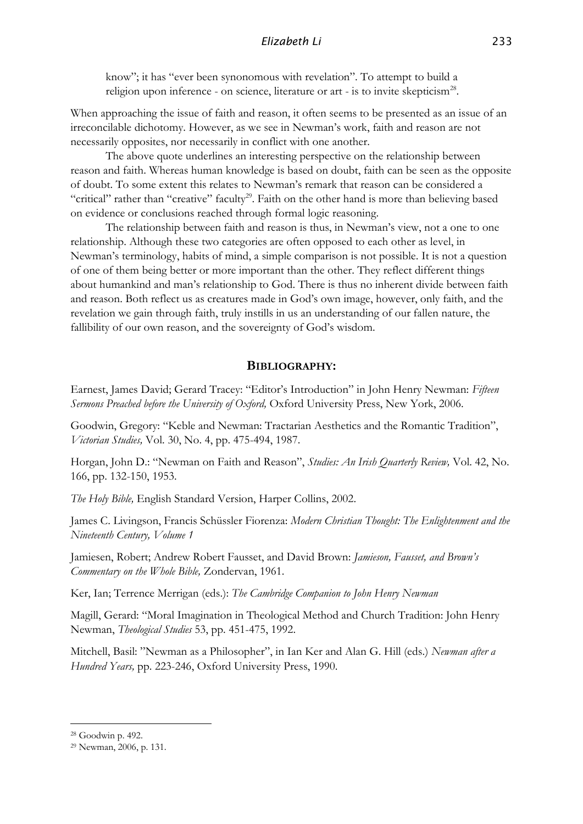know"; it has "ever been synonomous with revelation". To attempt to build a religion upon inference - on science, literature or art - is to invite skepticism<sup>28</sup>.

When approaching the issue of faith and reason, it often seems to be presented as an issue of an irreconcilable dichotomy. However, as we see in Newman's work, faith and reason are not necessarily opposites, nor necessarily in conflict with one another.

The above quote underlines an interesting perspective on the relationship between reason and faith. Whereas human knowledge is based on doubt, faith can be seen as the opposite of doubt. To some extent this relates to Newman's remark that reason can be considered a "critical" rather than "creative" faculty<sup>29</sup>. Faith on the other hand is more than believing based on evidence or conclusions reached through formal logic reasoning.

The relationship between faith and reason is thus, in Newman's view, not a one to one relationship. Although these two categories are often opposed to each other as level, in Newman's terminology, habits of mind, a simple comparison is not possible. It is not a question of one of them being better or more important than the other. They reflect different things about humankind and man's relationship to God. There is thus no inherent divide between faith and reason. Both reflect us as creatures made in God's own image, however, only faith, and the revelation we gain through faith, truly instills in us an understanding of our fallen nature, the fallibility of our own reason, and the sovereignty of God's wisdom.

## **BIBLIOGRAPHY:**

Earnest, James David; Gerard Tracey: "Editor's Introduction" in John Henry Newman: *Fifteen Sermons Preached before the University of Oxford,* Oxford University Press, New York, 2006.

Goodwin, Gregory: "Keble and Newman: Tractarian Aesthetics and the Romantic Tradition", *Victorian Studies,* Vol. 30, No. 4, pp. 475-494, 1987.

Horgan, John D.: "Newman on Faith and Reason", *Studies: An Irish Quarterly Review,* Vol. 42, No. 166, pp. 132-150, 1953.

*The Holy Bible,* English Standard Version, Harper Collins, 2002.

James C. Livingson, Francis Schüssler Fiorenza: *Modern Christian Thought: The Enlightenment and the Nineteenth Century, Volume 1*

Jamiesen, Robert; Andrew Robert Fausset, and David Brown: *Jamieson, Fausset, and Brown's Commentary on the Whole Bible,* Zondervan, 1961.

Ker, Ian; Terrence Merrigan (eds.): *The Cambridge Companion to John Henry Newman*

Magill, Gerard: "Moral Imagination in Theological Method and Church Tradition: John Henry Newman, *Theological Studies* 53, pp. 451-475, 1992.

Mitchell, Basil: "Newman as a Philosopher", in Ian Ker and Alan G. Hill (eds.) *Newman after a Hundred Years,* pp. 223-246, Oxford University Press, 1990.

<sup>28</sup> Goodwin p. 492.

<sup>29</sup> Newman, 2006, p. 131.